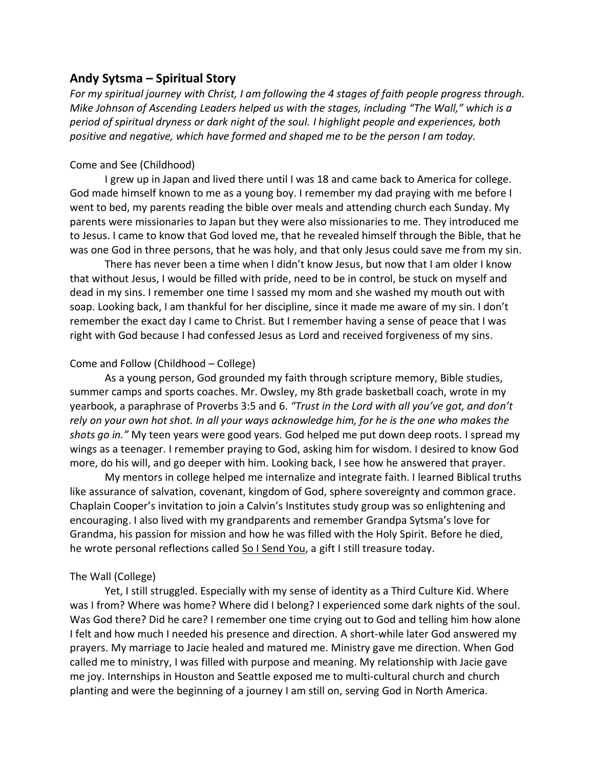# **Andy Sytsma – Spiritual Story**

*For my spiritual journey with Christ, I am following the 4 stages of faith people progress through. Mike Johnson of Ascending Leaders helped us with the stages, including "The Wall," which is a period of spiritual dryness or dark night of the soul. I highlight people and experiences, both positive and negative, which have formed and shaped me to be the person I am today.* 

## Come and See (Childhood)

I grew up in Japan and lived there until I was 18 and came back to America for college. God made himself known to me as a young boy. I remember my dad praying with me before I went to bed, my parents reading the bible over meals and attending church each Sunday. My parents were missionaries to Japan but they were also missionaries to me. They introduced me to Jesus. I came to know that God loved me, that he revealed himself through the Bible, that he was one God in three persons, that he was holy, and that only Jesus could save me from my sin.

There has never been a time when I didn't know Jesus, but now that I am older I know that without Jesus, I would be filled with pride, need to be in control, be stuck on myself and dead in my sins. I remember one time I sassed my mom and she washed my mouth out with soap. Looking back, I am thankful for her discipline, since it made me aware of my sin. I don't remember the exact day I came to Christ. But I remember having a sense of peace that I was right with God because I had confessed Jesus as Lord and received forgiveness of my sins.

## Come and Follow (Childhood – College)

As a young person, God grounded my faith through scripture memory, Bible studies, summer camps and sports coaches. Mr. Owsley, my 8th grade basketball coach, wrote in my yearbook, a paraphrase of Proverbs 3:5 and 6. *"Trust in the Lord with all you've got, and don't rely on your own hot shot. In all your ways acknowledge him, for he is the one who makes the shots go in."* My teen years were good years. God helped me put down deep roots. I spread my wings as a teenager. I remember praying to God, asking him for wisdom. I desired to know God more, do his will, and go deeper with him. Looking back, I see how he answered that prayer.

My mentors in college helped me internalize and integrate faith. I learned Biblical truths like assurance of salvation, covenant, kingdom of God, sphere sovereignty and common grace. Chaplain Cooper's invitation to join a Calvin's Institutes study group was so enlightening and encouraging. I also lived with my grandparents and remember Grandpa Sytsma's love for Grandma, his passion for mission and how he was filled with the Holy Spirit. Before he died, he wrote personal reflections called So I Send You, a gift I still treasure today.

# The Wall (College)

Yet, I still struggled. Especially with my sense of identity as a Third Culture Kid. Where was I from? Where was home? Where did I belong? I experienced some dark nights of the soul. Was God there? Did he care? I remember one time crying out to God and telling him how alone I felt and how much I needed his presence and direction. A short-while later God answered my prayers. My marriage to Jacie healed and matured me. Ministry gave me direction. When God called me to ministry, I was filled with purpose and meaning. My relationship with Jacie gave me joy. Internships in Houston and Seattle exposed me to multi-cultural church and church planting and were the beginning of a journey I am still on, serving God in North America.